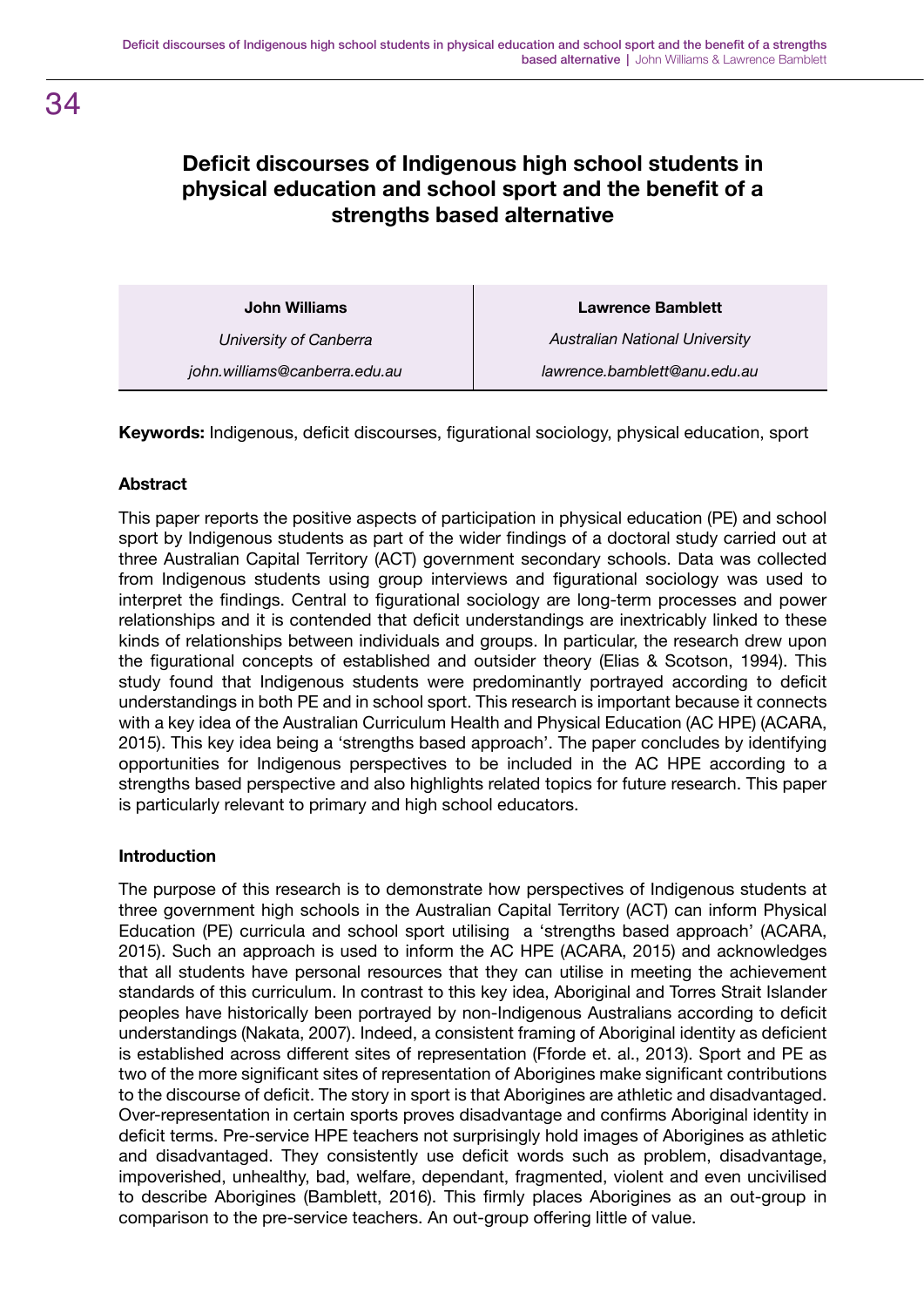# **Deficit discourses of Indigenous high school students in physical education and school sport and the benefit of a strengths based alternative**

**John Williams** *University of Canberra john.williams@canberra.edu.au* **Lawrence Bamblett** *Australian National University lawrence.bamblett@anu.edu.au*

**Keywords:** Indigenous, deficit discourses, figurational sociology, physical education, sport

# **Abstract**

This paper reports the positive aspects of participation in physical education (PE) and school sport by Indigenous students as part of the wider findings of a doctoral study carried out at three Australian Capital Territory (ACT) government secondary schools. Data was collected from Indigenous students using group interviews and figurational sociology was used to interpret the findings. Central to figurational sociology are long-term processes and power relationships and it is contended that deficit understandings are inextricably linked to these kinds of relationships between individuals and groups. In particular, the research drew upon the figurational concepts of established and outsider theory (Elias & Scotson, 1994). This study found that Indigenous students were predominantly portrayed according to deficit understandings in both PE and in school sport. This research is important because it connects with a key idea of the Australian Curriculum Health and Physical Education (AC HPE) (ACARA, 2015). This key idea being a 'strengths based approach'. The paper concludes by identifying opportunities for Indigenous perspectives to be included in the AC HPE according to a strengths based perspective and also highlights related topics for future research. This paper is particularly relevant to primary and high school educators.

#### **Introduction**

The purpose of this research is to demonstrate how perspectives of Indigenous students at three government high schools in the Australian Capital Territory (ACT) can inform Physical Education (PE) curricula and school sport utilising a 'strengths based approach' (ACARA, 2015). Such an approach is used to inform the AC HPE (ACARA, 2015) and acknowledges that all students have personal resources that they can utilise in meeting the achievement standards of this curriculum. In contrast to this key idea, Aboriginal and Torres Strait Islander peoples have historically been portrayed by non-Indigenous Australians according to deficit understandings (Nakata, 2007). Indeed, a consistent framing of Aboriginal identity as deficient is established across different sites of representation (Fforde et. al., 2013). Sport and PE as two of the more significant sites of representation of Aborigines make significant contributions to the discourse of deficit. The story in sport is that Aborigines are athletic and disadvantaged. Over-representation in certain sports proves disadvantage and confirms Aboriginal identity in deficit terms. Pre-service HPE teachers not surprisingly hold images of Aborigines as athletic and disadvantaged. They consistently use deficit words such as problem, disadvantage, impoverished, unhealthy, bad, welfare, dependant, fragmented, violent and even uncivilised to describe Aborigines (Bamblett, 2016). This firmly places Aborigines as an out-group in comparison to the pre-service teachers. An out-group offering little of value.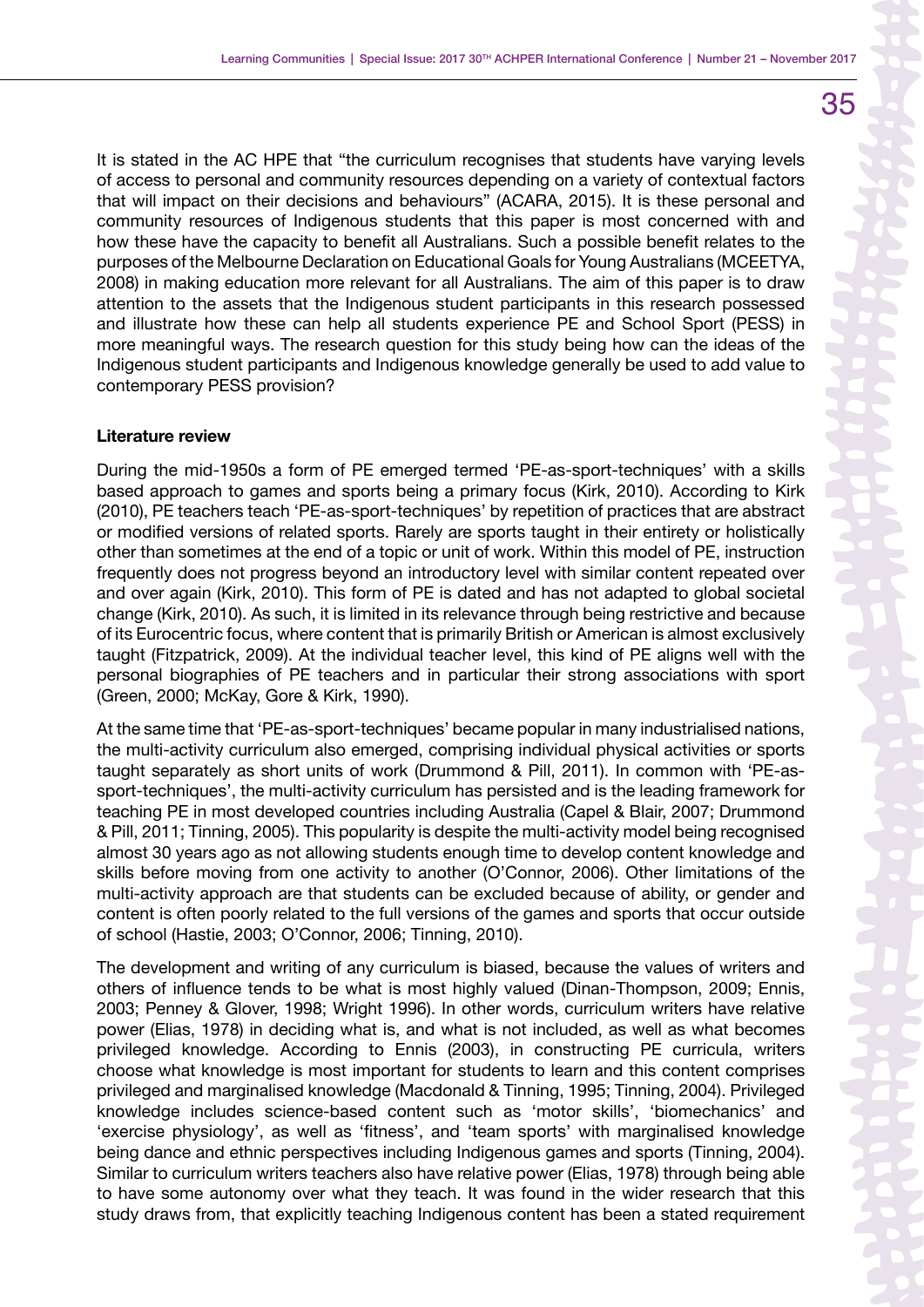It is stated in the AC HPE that "the curriculum recognises that students have varying levels of access to personal and community resources depending on a variety of contextual factors that will impact on their decisions and behaviours" (ACARA, 2015). It is these personal and community resources of Indigenous students that this paper is most concerned with and how these have the capacity to benefit all Australians. Such a possible benefit relates to the purposes of the Melbourne Declaration on Educational Goals for Young Australians (MCEETYA, 2008) in making education more relevant for all Australians. The aim of this paper is to draw attention to the assets that the Indigenous student participants in this research possessed and illustrate how these can help all students experience PE and School Sport (PESS) in more meaningful ways. The research question for this study being how can the ideas of the Indigenous student participants and Indigenous knowledge generally be used to add value to contemporary PESS provision?

#### **Literature review**

During the mid-1950s a form of PE emerged termed 'PE-as-sport-techniques' with a skills based approach to games and sports being a primary focus (Kirk, 2010). According to Kirk (2010), PE teachers teach 'PE-as-sport-techniques' by repetition of practices that are abstract or modified versions of related sports. Rarely are sports taught in their entirety or holistically other than sometimes at the end of a topic or unit of work. Within this model of PE, instruction frequently does not progress beyond an introductory level with similar content repeated over and over again (Kirk, 2010). This form of PE is dated and has not adapted to global societal change (Kirk, 2010). As such, it is limited in its relevance through being restrictive and because of its Eurocentric focus, where content that is primarily British or American is almost exclusively taught (Fitzpatrick, 2009). At the individual teacher level, this kind of PE aligns well with the personal biographies of PE teachers and in particular their strong associations with sport (Green, 2000; McKay, Gore & Kirk, 1990).

At the same time that 'PE-as-sport-techniques' became popular in many industrialised nations, the multi-activity curriculum also emerged, comprising individual physical activities or sports taught separately as short units of work (Drummond & Pill, 2011). In common with 'PE-assport-techniques', the multi-activity curriculum has persisted and is the leading framework for teaching PE in most developed countries including Australia (Capel & Blair, 2007; Drummond & Pill, 2011; Tinning, 2005). This popularity is despite the multi-activity model being recognised almost 30 years ago as not allowing students enough time to develop content knowledge and skills before moving from one activity to another (O'Connor, 2006). Other limitations of the multi-activity approach are that students can be excluded because of ability, or gender and content is often poorly related to the full versions of the games and sports that occur outside of school (Hastie, 2003; O'Connor, 2006; Tinning, 2010).

The development and writing of any curriculum is biased, because the values of writers and others of influence tends to be what is most highly valued (Dinan-Thompson, 2009; Ennis, 2003; Penney & Glover, 1998; Wright 1996). In other words, curriculum writers have relative power (Elias, 1978) in deciding what is, and what is not included, as well as what becomes privileged knowledge. According to Ennis (2003), in constructing PE curricula, writers choose what knowledge is most important for students to learn and this content comprises privileged and marginalised knowledge (Macdonald & Tinning, 1995; Tinning, 2004). Privileged knowledge includes science-based content such as 'motor skills', 'biomechanics' and 'exercise physiology', as well as 'fitness', and 'team sports' with marginalised knowledge being dance and ethnic perspectives including Indigenous games and sports (Tinning, 2004). Similar to curriculum writers teachers also have relative power (Elias, 1978) through being able to have some autonomy over what they teach. It was found in the wider research that this study draws from, that explicitly teaching Indigenous content has been a stated requirement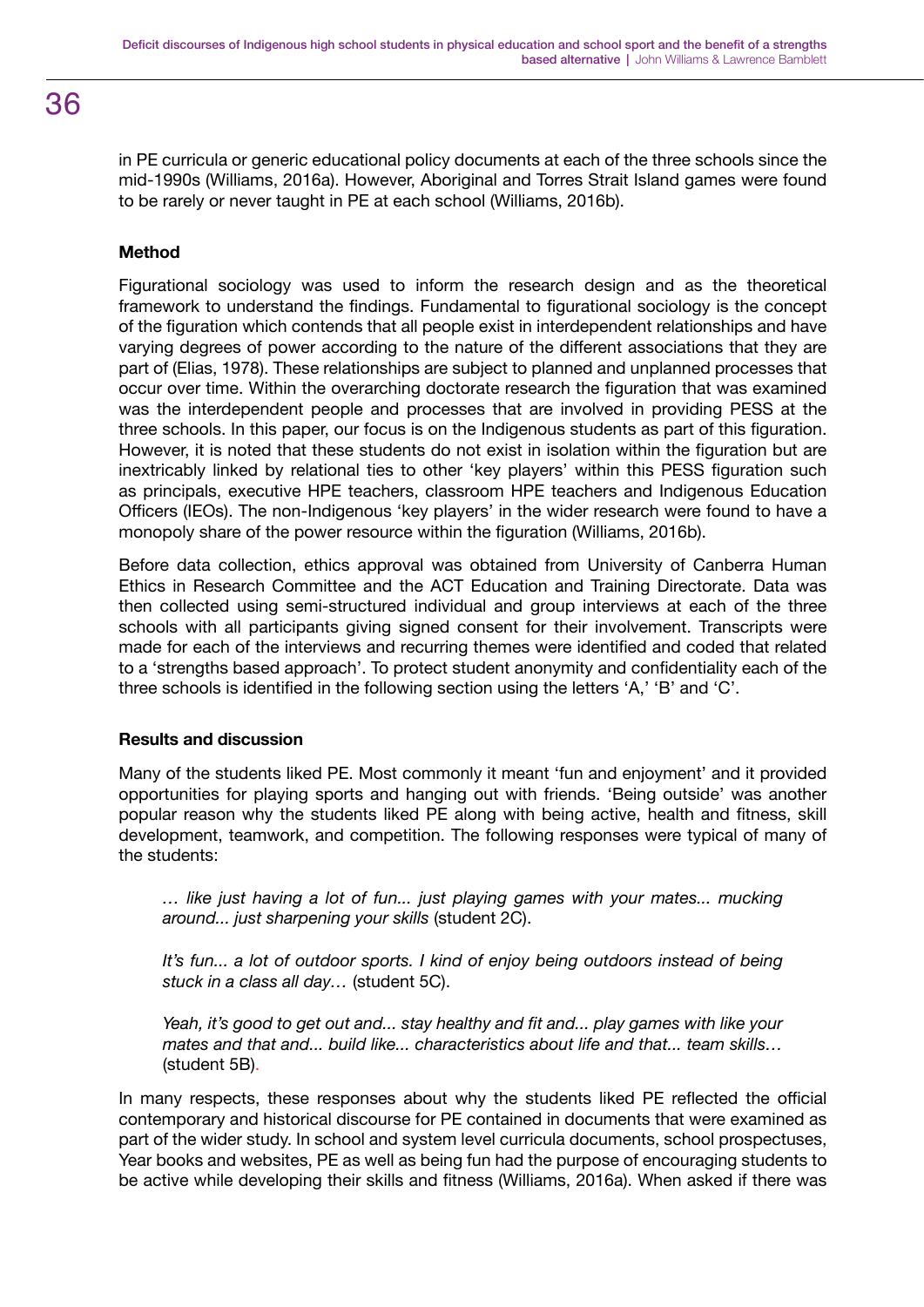# 36

in PE curricula or generic educational policy documents at each of the three schools since the mid-1990s (Williams, 2016a). However, Aboriginal and Torres Strait Island games were found to be rarely or never taught in PE at each school (Williams, 2016b).

# **Method**

Figurational sociology was used to inform the research design and as the theoretical framework to understand the findings. Fundamental to figurational sociology is the concept of the figuration which contends that all people exist in interdependent relationships and have varying degrees of power according to the nature of the different associations that they are part of (Elias, 1978). These relationships are subject to planned and unplanned processes that occur over time. Within the overarching doctorate research the figuration that was examined was the interdependent people and processes that are involved in providing PESS at the three schools. In this paper, our focus is on the Indigenous students as part of this figuration. However, it is noted that these students do not exist in isolation within the figuration but are inextricably linked by relational ties to other 'key players' within this PESS figuration such as principals, executive HPE teachers, classroom HPE teachers and Indigenous Education Officers (IEOs). The non-Indigenous 'key players' in the wider research were found to have a monopoly share of the power resource within the figuration (Williams, 2016b).

Before data collection, ethics approval was obtained from University of Canberra Human Ethics in Research Committee and the ACT Education and Training Directorate. Data was then collected using semi-structured individual and group interviews at each of the three schools with all participants giving signed consent for their involvement. Transcripts were made for each of the interviews and recurring themes were identified and coded that related to a 'strengths based approach'. To protect student anonymity and confidentiality each of the three schools is identified in the following section using the letters 'A,' 'B' and 'C'.

# **Results and discussion**

Many of the students liked PE. Most commonly it meant 'fun and enjoyment' and it provided opportunities for playing sports and hanging out with friends. 'Being outside' was another popular reason why the students liked PE along with being active, health and fitness, skill development, teamwork, and competition. The following responses were typical of many of the students:

*… like just having a lot of fun... just playing games with your mates... mucking around... just sharpening your skills* (student 2C).

*It's fun... a lot of outdoor sports. I kind of enjoy being outdoors instead of being stuck in a class all day…* (student 5C).

*Yeah, it's good to get out and... stay healthy and fit and... play games with like your mates and that and... build like... characteristics about life and that... team skills…*  (student 5B).

In many respects, these responses about why the students liked PE reflected the official contemporary and historical discourse for PE contained in documents that were examined as part of the wider study. In school and system level curricula documents, school prospectuses, Year books and websites, PE as well as being fun had the purpose of encouraging students to be active while developing their skills and fitness (Williams, 2016a). When asked if there was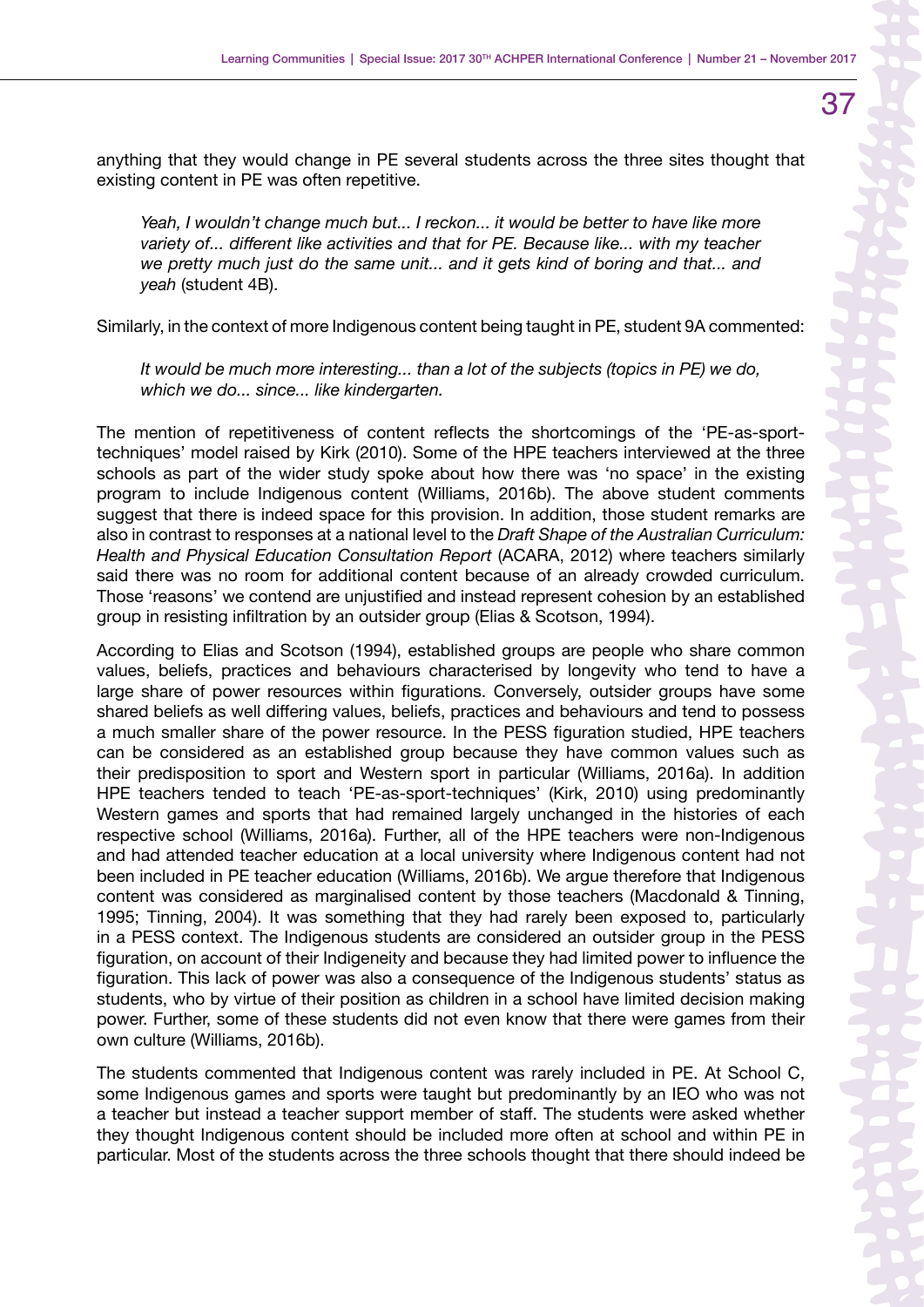37

anything that they would change in PE several students across the three sites thought that existing content in PE was often repetitive.

Yeah, I wouldn't change much but... I reckon... it would be better to have like more *variety of... different like activities and that for PE. Because like... with my teacher we pretty much just do the same unit... and it gets kind of boring and that... and yeah* (student 4B).

Similarly, in the context of more Indigenous content being taught in PE, student 9A commented:

*It would be much more interesting... than a lot of the subjects (topics in PE) we do, which we do... since... like kindergarten.*

The mention of repetitiveness of content reflects the shortcomings of the 'PE-as-sporttechniques' model raised by Kirk (2010). Some of the HPE teachers interviewed at the three schools as part of the wider study spoke about how there was 'no space' in the existing program to include Indigenous content (Williams, 2016b). The above student comments suggest that there is indeed space for this provision. In addition, those student remarks are also in contrast to responses at a national level to the *Draft Shape of the Australian Curriculum: Health and Physical Education Consultation Report* (ACARA, 2012) where teachers similarly said there was no room for additional content because of an already crowded curriculum. Those 'reasons' we contend are unjustified and instead represent cohesion by an established group in resisting infiltration by an outsider group (Elias & Scotson, 1994).

According to Elias and Scotson (1994), established groups are people who share common values, beliefs, practices and behaviours characterised by longevity who tend to have a large share of power resources within figurations. Conversely, outsider groups have some shared beliefs as well differing values, beliefs, practices and behaviours and tend to possess a much smaller share of the power resource. In the PESS figuration studied, HPE teachers can be considered as an established group because they have common values such as their predisposition to sport and Western sport in particular (Williams, 2016a). In addition HPE teachers tended to teach 'PE-as-sport-techniques' (Kirk, 2010) using predominantly Western games and sports that had remained largely unchanged in the histories of each respective school (Williams, 2016a). Further, all of the HPE teachers were non-Indigenous and had attended teacher education at a local university where Indigenous content had not been included in PE teacher education (Williams, 2016b). We argue therefore that Indigenous content was considered as marginalised content by those teachers (Macdonald & Tinning, 1995; Tinning, 2004). It was something that they had rarely been exposed to, particularly in a PESS context. The Indigenous students are considered an outsider group in the PESS figuration, on account of their Indigeneity and because they had limited power to influence the figuration. This lack of power was also a consequence of the Indigenous students' status as students, who by virtue of their position as children in a school have limited decision making power. Further, some of these students did not even know that there were games from their own culture (Williams, 2016b).

The students commented that Indigenous content was rarely included in PE. At School C, some Indigenous games and sports were taught but predominantly by an IEO who was not a teacher but instead a teacher support member of staff. The students were asked whether they thought Indigenous content should be included more often at school and within PE in particular. Most of the students across the three schools thought that there should indeed be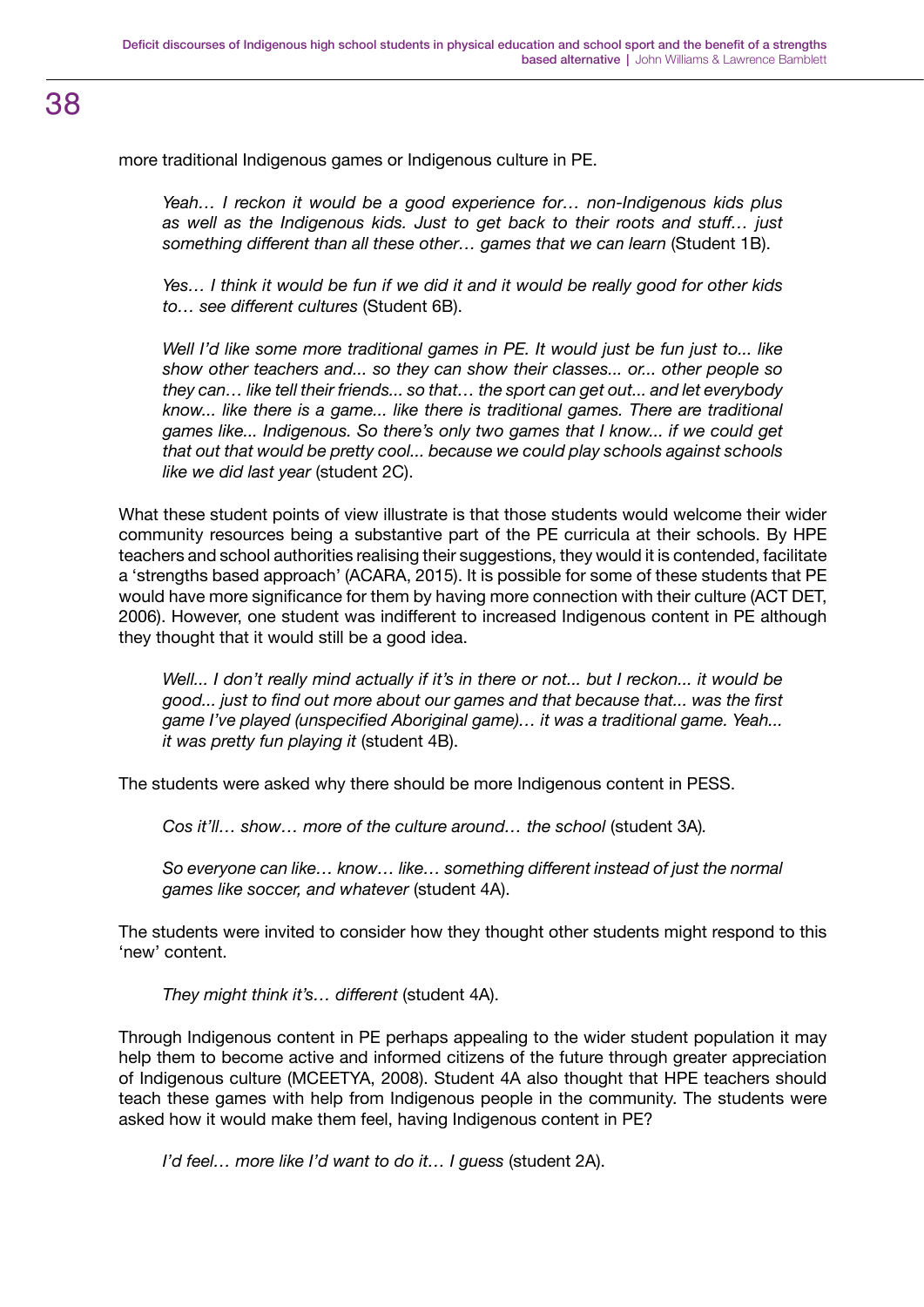more traditional Indigenous games or Indigenous culture in PE.

*Yeah… I reckon it would be a good experience for… non-Indigenous kids plus as well as the Indigenous kids. Just to get back to their roots and stuff… just something different than all these other… games that we can learn* (Student 1B).

*Yes… I think it would be fun if we did it and it would be really good for other kids to… see different cultures* (Student 6B).

Well I'd like some more traditional games in PE. It would just be fun just to... like *show other teachers and... so they can show their classes... or... other people so they can… like tell their friends... so that… the sport can get out... and let everybody know... like there is a game... like there is traditional games. There are traditional games like... Indigenous. So there's only two games that I know... if we could get that out that would be pretty cool... because we could play schools against schools like we did last year* (student 2C).

What these student points of view illustrate is that those students would welcome their wider community resources being a substantive part of the PE curricula at their schools. By HPE teachers and school authorities realising their suggestions, they would it is contended, facilitate a 'strengths based approach' (ACARA, 2015). It is possible for some of these students that PE would have more significance for them by having more connection with their culture (ACT DET, 2006). However, one student was indifferent to increased Indigenous content in PE although they thought that it would still be a good idea.

*Well... I don't really mind actually if it's in there or not... but I reckon... it would be good... just to find out more about our games and that because that... was the first game I've played (unspecified Aboriginal game)… it was a traditional game. Yeah... it was pretty fun playing it* (student 4B).

The students were asked why there should be more Indigenous content in PESS.

*Cos it'll...* show... more of the culture around... the school (student 3A).

*So everyone can like… know… like… something different instead of just the normal games like soccer, and whatever* (student 4A).

The students were invited to consider how they thought other students might respond to this 'new' content.

*They might think it's… different* (student 4A).

Through Indigenous content in PE perhaps appealing to the wider student population it may help them to become active and informed citizens of the future through greater appreciation of Indigenous culture (MCEETYA, 2008). Student 4A also thought that HPE teachers should teach these games with help from Indigenous people in the community. The students were asked how it would make them feel, having Indigenous content in PE?

*I'd feel... more like I'd want to do it... I guess (student 2A).*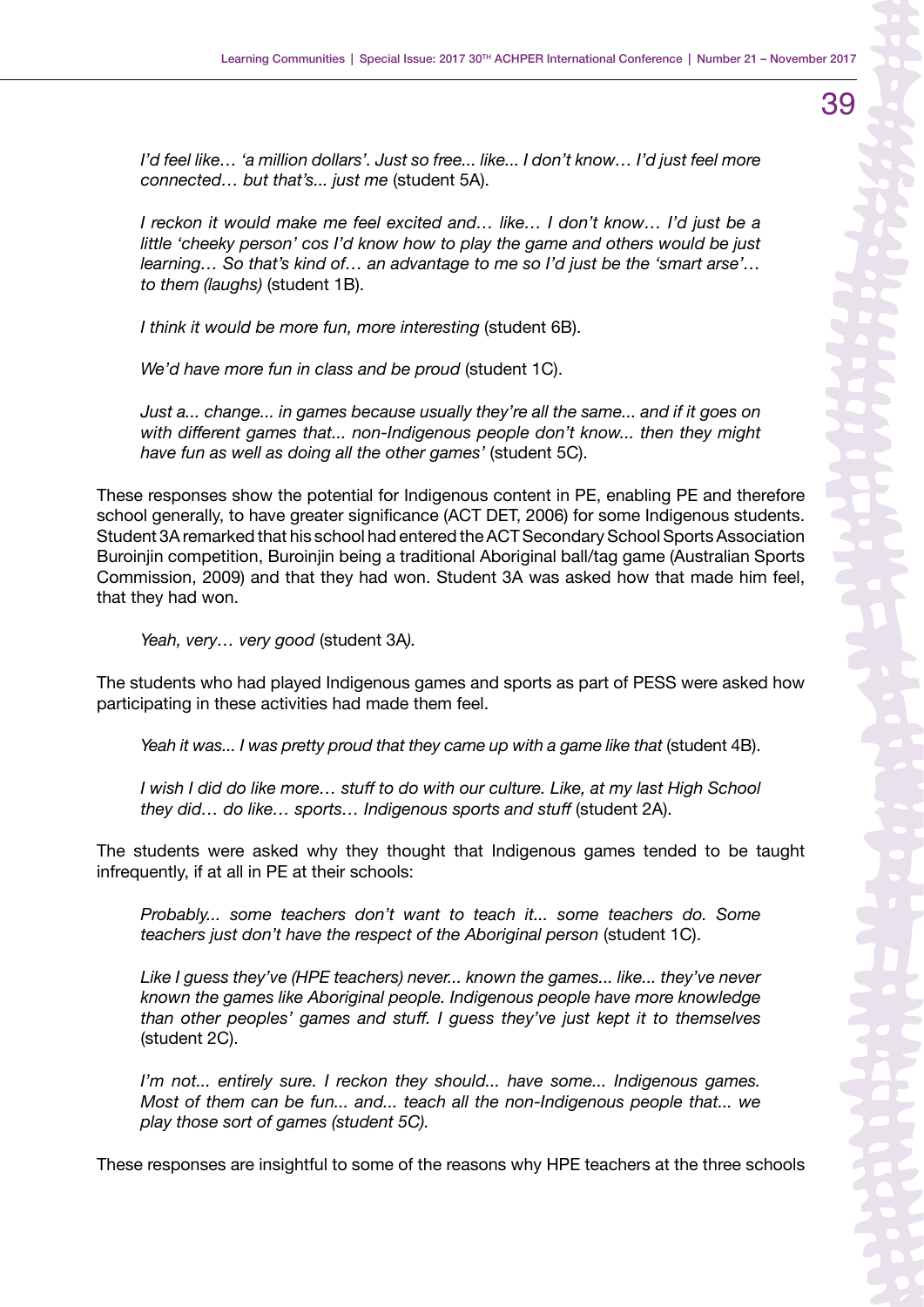*I'd feel like… 'a million dollars'. Just so free... like... I don't know… I'd just feel more connected… but that's... just me* (student 5A).

*I reckon it would make me feel excited and… like… I don't know… I'd just be a little 'cheeky person' cos I'd know how to play the game and others would be just learning… So that's kind of… an advantage to me so I'd just be the 'smart arse'… to them (laughs)* (student 1B).

*I think it would be more fun, more interesting* (student 6B).

*We'd have more fun in class and be proud* (student 1C).

*Just a... change... in games because usually they're all the same... and if it goes on with different games that... non-Indigenous people don't know... then they might have fun as well as doing all the other games'* (student 5C).

These responses show the potential for Indigenous content in PE, enabling PE and therefore school generally, to have greater significance (ACT DET, 2006) for some Indigenous students. Student 3A remarked that his school had entered the ACT Secondary School Sports Association Buroinjin competition, Buroinjin being a traditional Aboriginal ball/tag game (Australian Sports Commission, 2009) and that they had won. Student 3A was asked how that made him feel, that they had won.

*Yeah, very… very good* (student 3A*).*

The students who had played Indigenous games and sports as part of PESS were asked how participating in these activities had made them feel.

*Yeah it was... I was pretty proud that they came up with a game like that* (student 4B).

*I wish I did do like more… stuff to do with our culture. Like, at my last High School they did… do like… sports… Indigenous sports and stuff* (student 2A).

The students were asked why they thought that Indigenous games tended to be taught infrequently, if at all in PE at their schools:

*Probably... some teachers don't want to teach it... some teachers do. Some teachers just don't have the respect of the Aboriginal person* (student 1C).

*Like I guess they've (HPE teachers) never... known the games... like... they've never known the games like Aboriginal people. Indigenous people have more knowledge than other peoples' games and stuff. I guess they've just kept it to themselves*  (student 2C).

*I'm not... entirely sure. I reckon they should... have some... Indigenous games. Most of them can be fun... and... teach all the non-Indigenous people that... we play those sort of games (student 5C).*

These responses are insightful to some of the reasons why HPE teachers at the three schools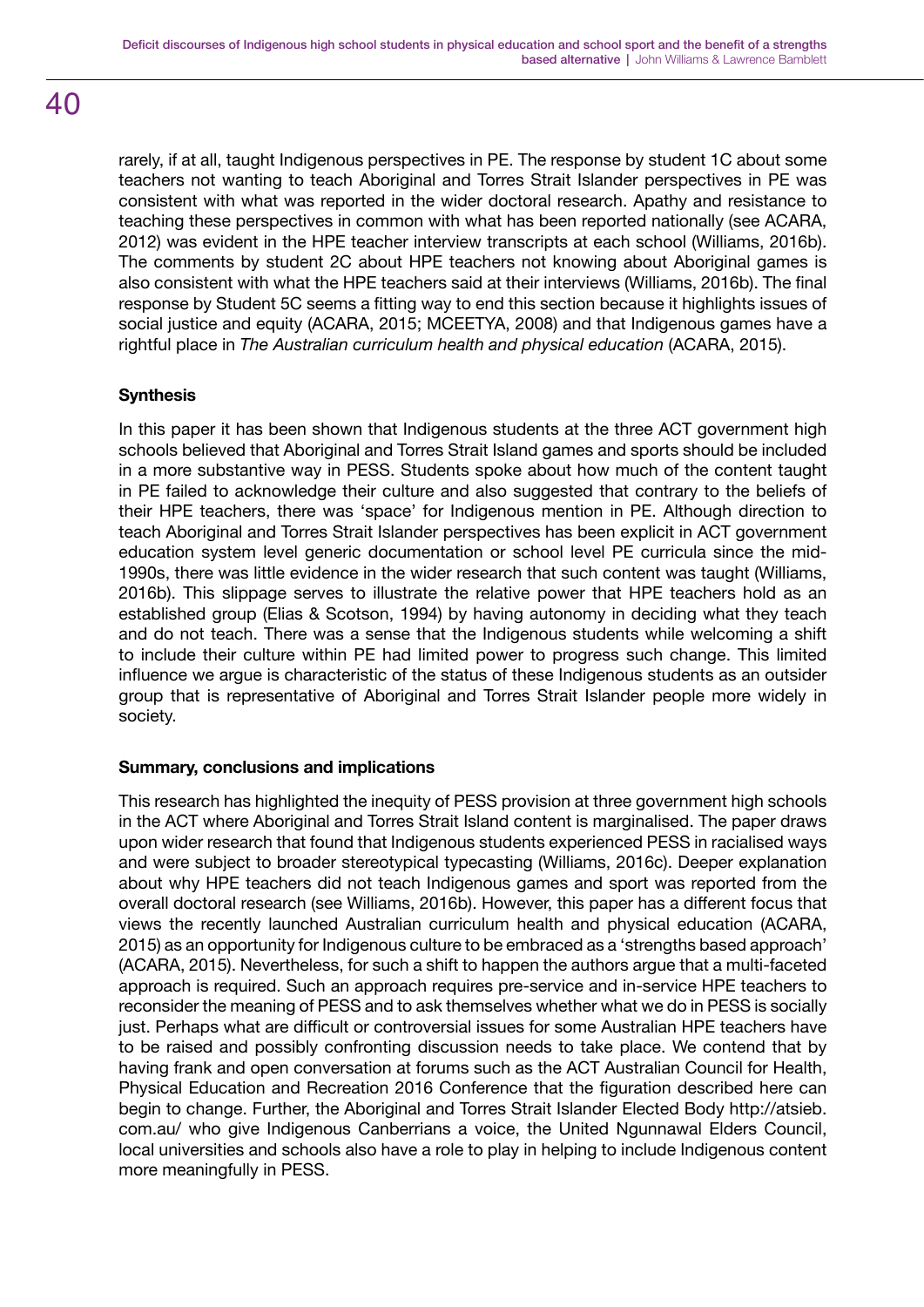rarely, if at all, taught Indigenous perspectives in PE. The response by student 1C about some teachers not wanting to teach Aboriginal and Torres Strait Islander perspectives in PE was consistent with what was reported in the wider doctoral research. Apathy and resistance to teaching these perspectives in common with what has been reported nationally (see ACARA, 2012) was evident in the HPE teacher interview transcripts at each school (Williams, 2016b). The comments by student 2C about HPE teachers not knowing about Aboriginal games is also consistent with what the HPE teachers said at their interviews (Williams, 2016b). The final response by Student 5C seems a fitting way to end this section because it highlights issues of social justice and equity (ACARA, 2015; MCEETYA, 2008) and that Indigenous games have a rightful place in *The Australian curriculum health and physical education* (ACARA, 2015).

# **Synthesis**

In this paper it has been shown that Indigenous students at the three ACT government high schools believed that Aboriginal and Torres Strait Island games and sports should be included in a more substantive way in PESS. Students spoke about how much of the content taught in PE failed to acknowledge their culture and also suggested that contrary to the beliefs of their HPE teachers, there was 'space' for Indigenous mention in PE. Although direction to teach Aboriginal and Torres Strait Islander perspectives has been explicit in ACT government education system level generic documentation or school level PE curricula since the mid-1990s, there was little evidence in the wider research that such content was taught (Williams, 2016b). This slippage serves to illustrate the relative power that HPE teachers hold as an established group (Elias & Scotson, 1994) by having autonomy in deciding what they teach and do not teach. There was a sense that the Indigenous students while welcoming a shift to include their culture within PE had limited power to progress such change. This limited influence we argue is characteristic of the status of these Indigenous students as an outsider group that is representative of Aboriginal and Torres Strait Islander people more widely in society.

# **Summary, conclusions and implications**

This research has highlighted the inequity of PESS provision at three government high schools in the ACT where Aboriginal and Torres Strait Island content is marginalised. The paper draws upon wider research that found that Indigenous students experienced PESS in racialised ways and were subject to broader stereotypical typecasting (Williams, 2016c). Deeper explanation about why HPE teachers did not teach Indigenous games and sport was reported from the overall doctoral research (see Williams, 2016b). However, this paper has a different focus that views the recently launched Australian curriculum health and physical education (ACARA, 2015) as an opportunity for Indigenous culture to be embraced as a 'strengths based approach' (ACARA, 2015). Nevertheless, for such a shift to happen the authors argue that a multi-faceted approach is required. Such an approach requires pre-service and in-service HPE teachers to reconsider the meaning of PESS and to ask themselves whether what we do in PESS is socially just. Perhaps what are difficult or controversial issues for some Australian HPE teachers have to be raised and possibly confronting discussion needs to take place. We contend that by having frank and open conversation at forums such as the ACT Australian Council for Health, Physical Education and Recreation 2016 Conference that the figuration described here can begin to change. Further, the Aboriginal and Torres Strait Islander Elected Body http://atsieb. com.au/ who give Indigenous Canberrians a voice, the United Ngunnawal Elders Council, local universities and schools also have a role to play in helping to include Indigenous content more meaningfully in PESS.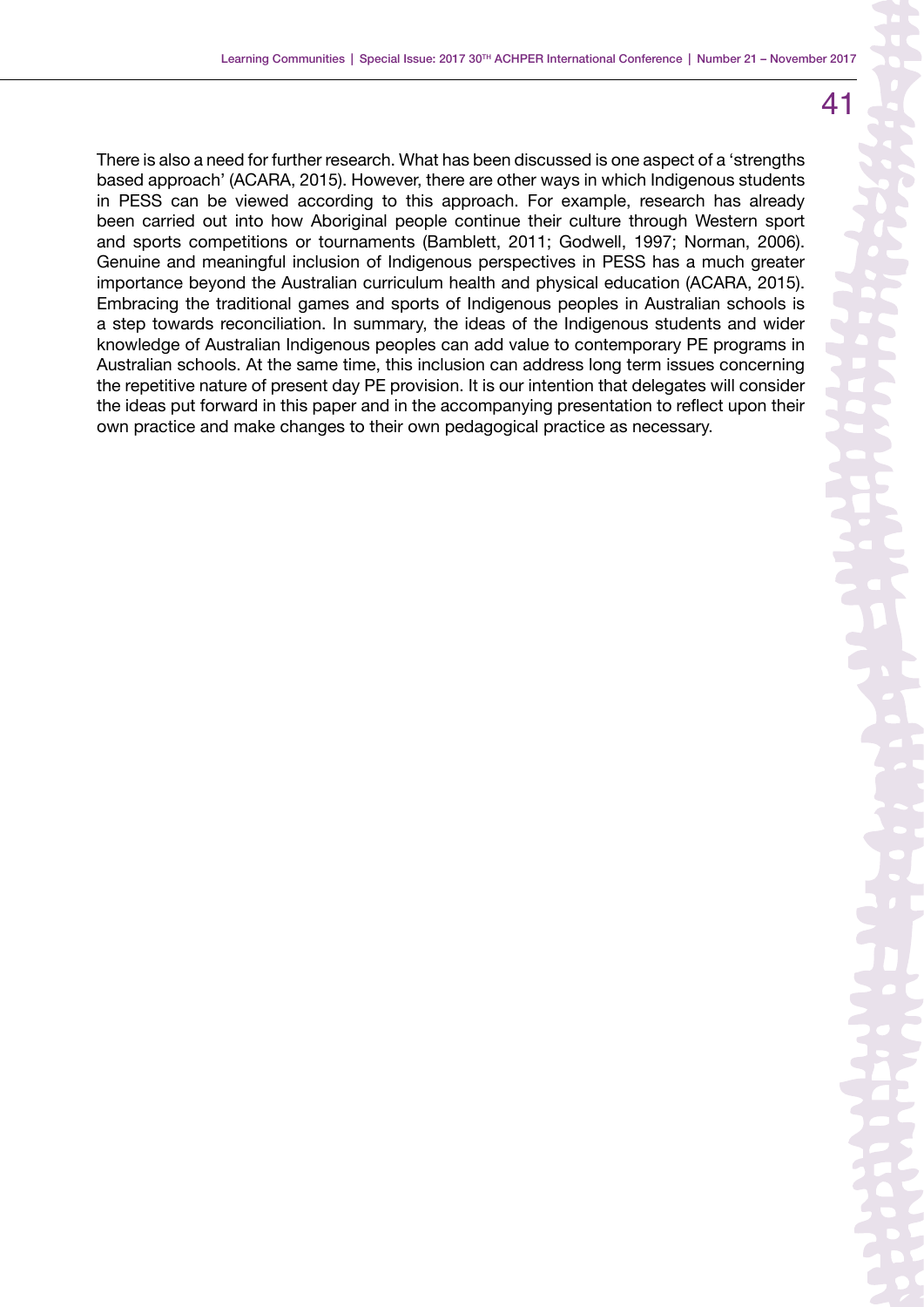There is also a need for further research. What has been discussed is one aspect of a 'strengths based approach' (ACARA, 2015). However, there are other ways in which Indigenous students in PESS can be viewed according to this approach. For example, research has already been carried out into how Aboriginal people continue their culture through Western sport and sports competitions or tournaments (Bamblett, 2011; Godwell, 1997; Norman, 2006). Genuine and meaningful inclusion of Indigenous perspectives in PESS has a much greater importance beyond the Australian curriculum health and physical education (ACARA, 2015). Embracing the traditional games and sports of Indigenous peoples in Australian schools is a step towards reconciliation. In summary, the ideas of the Indigenous students and wider knowledge of Australian Indigenous peoples can add value to contemporary PE programs in Australian schools. At the same time, this inclusion can address long term issues concerning the repetitive nature of present day PE provision. It is our intention that delegates will consider the ideas put forward in this paper and in the accompanying presentation to reflect upon their own practice and make changes to their own pedagogical practice as necessary.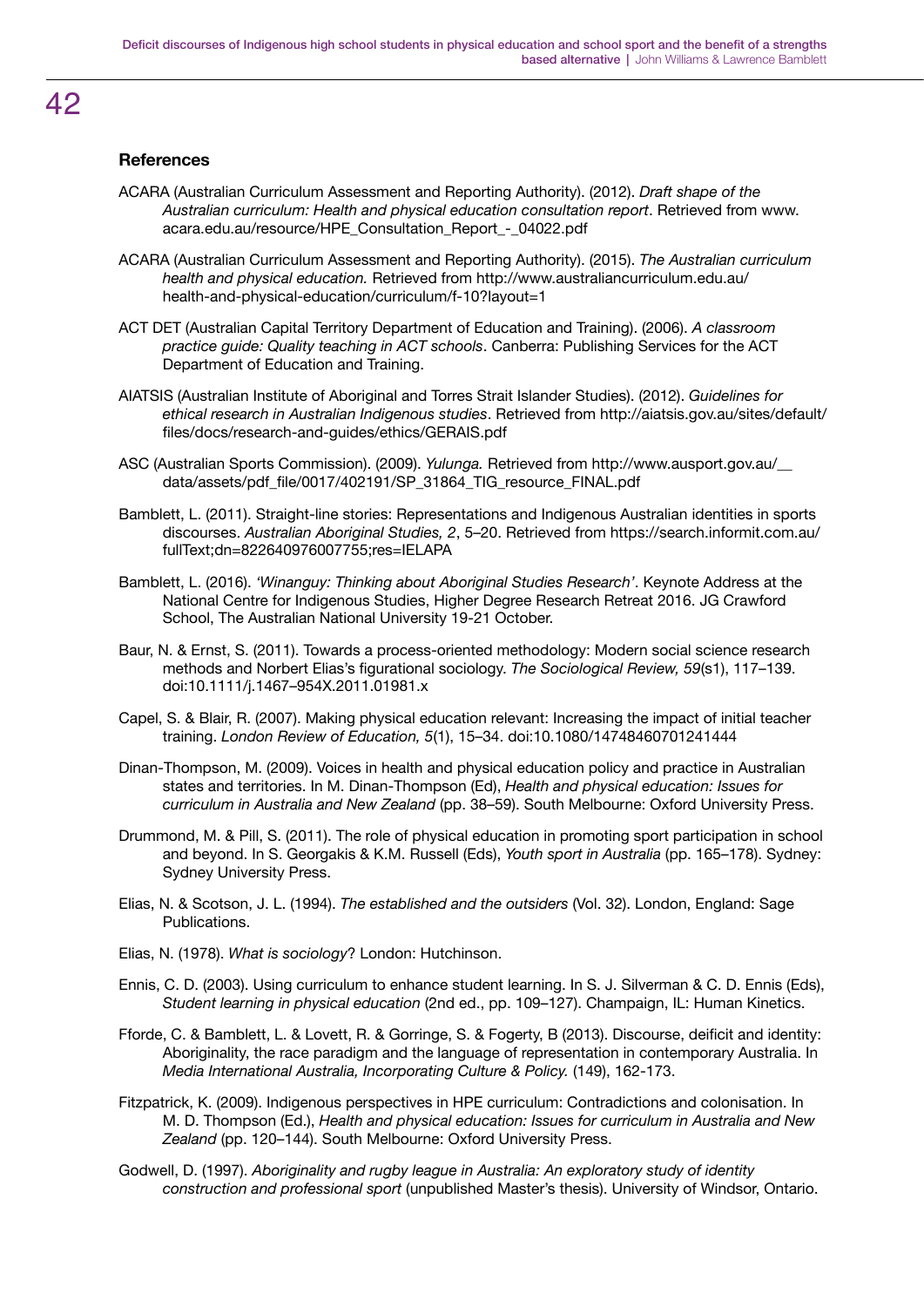### **References**

- ACARA (Australian Curriculum Assessment and Reporting Authority). (2012). *Draft shape of the Australian curriculum: Health and physical education consultation report*. Retrieved from www. acara.edu.au/resource/HPE\_Consultation\_Report\_-\_04022.pdf
- ACARA (Australian Curriculum Assessment and Reporting Authority). (2015). *The Australian curriculum health and physical education.* Retrieved from http://www.australiancurriculum.edu.au/ health-and-physical-education/curriculum/f-10?layout=1
- ACT DET (Australian Capital Territory Department of Education and Training). (2006). *A classroom practice guide: Quality teaching in ACT schools*. Canberra: Publishing Services for the ACT Department of Education and Training.
- AIATSIS (Australian Institute of Aboriginal and Torres Strait Islander Studies). (2012). *Guidelines for ethical research in Australian Indigenous studies*. Retrieved from http://aiatsis.gov.au/sites/default/ files/docs/research-and-guides/ethics/GERAIS.pdf
- ASC (Australian Sports Commission). (2009). *Yulunga.* Retrieved from http://www.ausport.gov.au/\_\_ data/assets/pdf\_file/0017/402191/SP\_31864\_TIG\_resource\_FINAL.pdf
- Bamblett, L. (2011). Straight-line stories: Representations and Indigenous Australian identities in sports discourses. *Australian Aboriginal Studies, 2*, 5–20. Retrieved from https://search.informit.com.au/ fullText;dn=822640976007755;res=IELAPA
- Bamblett, L. (2016). *'Winanguy: Thinking about Aboriginal Studies Research'*. Keynote Address at the National Centre for Indigenous Studies, Higher Degree Research Retreat 2016. JG Crawford School, The Australian National University 19-21 October.
- Baur, N. & Ernst, S. (2011). Towards a process-oriented methodology: Modern social science research methods and Norbert Elias's figurational sociology. *The Sociological Review, 59*(s1), 117–139. doi:10.1111/j.1467–954X.2011.01981.x
- Capel, S. & Blair, R. (2007). Making physical education relevant: Increasing the impact of initial teacher training. *London Review of Education, 5*(1), 15–34. doi:10.1080/14748460701241444
- Dinan-Thompson, M. (2009). Voices in health and physical education policy and practice in Australian states and territories. In M. Dinan-Thompson (Ed), *Health and physical education: Issues for curriculum in Australia and New Zealand* (pp. 38–59). South Melbourne: Oxford University Press.
- Drummond, M. & Pill, S. (2011). The role of physical education in promoting sport participation in school and beyond. In S. Georgakis & K.M. Russell (Eds), *Youth sport in Australia* (pp. 165–178). Sydney: Sydney University Press.
- Elias, N. & Scotson, J. L. (1994). *The established and the outsiders* (Vol. 32). London, England: Sage Publications.
- Elias, N. (1978). *What is sociology*? London: Hutchinson.
- Ennis, C. D. (2003). Using curriculum to enhance student learning. In S. J. Silverman & C. D. Ennis (Eds), *Student learning in physical education* (2nd ed., pp. 109–127). Champaign, IL: Human Kinetics.
- Fforde, C. & Bamblett, L. & Lovett, R. & Gorringe, S. & Fogerty, B (2013). Discourse, deificit and identity: Aboriginality, the race paradigm and the language of representation in contemporary Australia. In *Media International Australia, Incorporating Culture & Policy.* (149), 162-173.
- Fitzpatrick, K. (2009). Indigenous perspectives in HPE curriculum: Contradictions and colonisation. In M. D. Thompson (Ed.), *Health and physical education: Issues for curriculum in Australia and New Zealand* (pp. 120–144). South Melbourne: Oxford University Press.
- Godwell, D. (1997). *Aboriginality and rugby league in Australia: An exploratory study of identity construction and professional sport* (unpublished Master's thesis). University of Windsor, Ontario.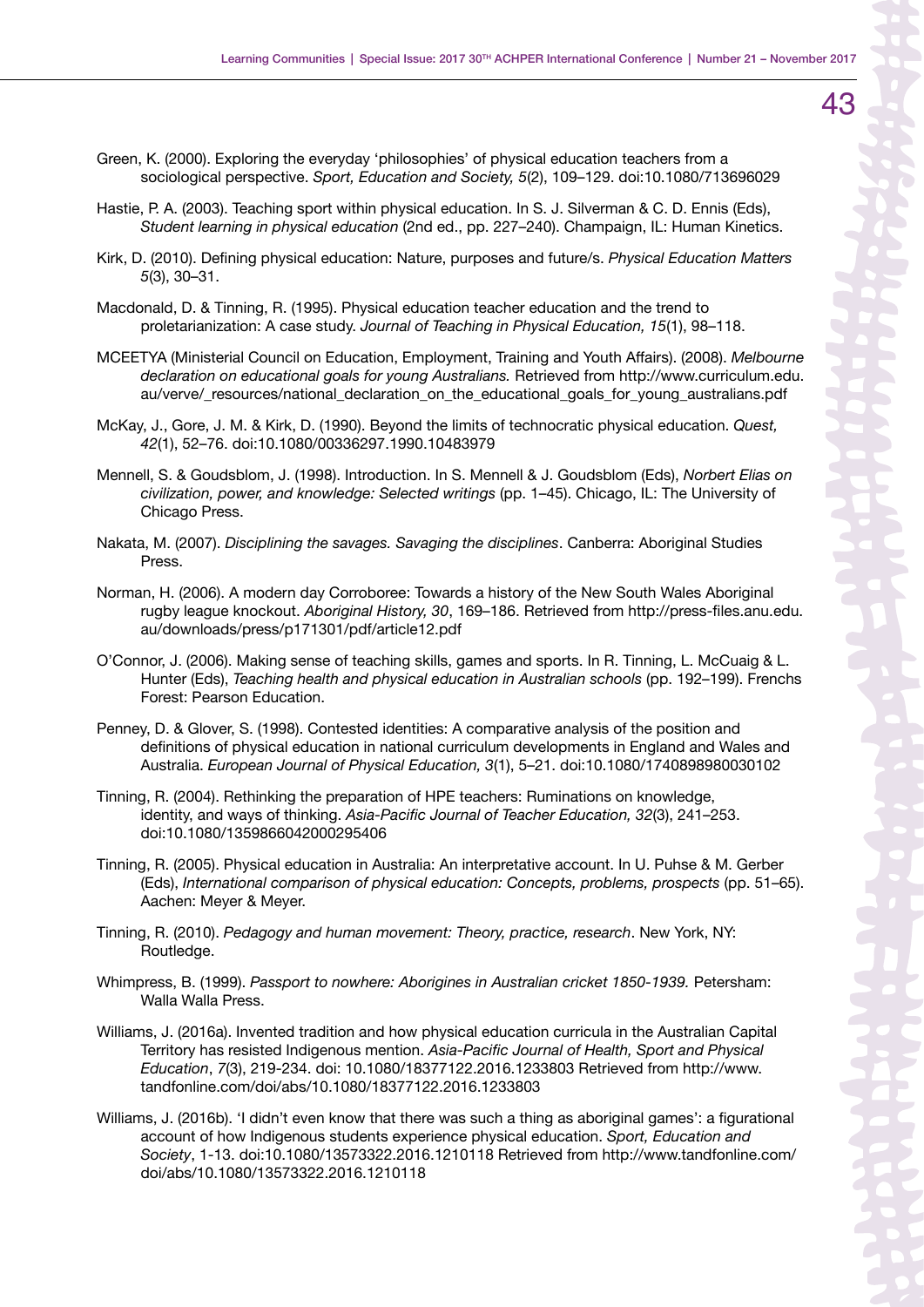- Green, K. (2000). Exploring the everyday 'philosophies' of physical education teachers from a sociological perspective. *Sport, Education and Society, 5*(2), 109–129. doi:10.1080/713696029
- Hastie, P. A. (2003). Teaching sport within physical education. In S. J. Silverman & C. D. Ennis (Eds), *Student learning in physical education* (2nd ed., pp. 227–240). Champaign, IL: Human Kinetics.
- Kirk, D. (2010). Defining physical education: Nature, purposes and future/s. *Physical Education Matters 5*(3), 30–31.
- Macdonald, D. & Tinning, R. (1995). Physical education teacher education and the trend to proletarianization: A case study. *Journal of Teaching in Physical Education, 15*(1), 98–118.
- MCEETYA (Ministerial Council on Education, Employment, Training and Youth Affairs). (2008). *Melbourne declaration on educational goals for young Australians.* Retrieved from http://www.curriculum.edu. au/verve/ resources/national declaration on the educational goals for young australians.pdf
- McKay, J., Gore, J. M. & Kirk, D. (1990). Beyond the limits of technocratic physical education. *Quest, 42*(1), 52–76. doi:10.1080/00336297.1990.10483979
- Mennell, S. & Goudsblom, J. (1998). Introduction. In S. Mennell & J. Goudsblom (Eds), *Norbert Elias on civilization, power, and knowledge: Selected writings* (pp. 1–45). Chicago, IL: The University of Chicago Press.
- Nakata, M. (2007). *Disciplining the savages. Savaging the disciplines*. Canberra: Aboriginal Studies Press.
- Norman, H. (2006). A modern day Corroboree: Towards a history of the New South Wales Aboriginal rugby league knockout. *Aboriginal History, 30*, 169–186. Retrieved from http://press-files.anu.edu. au/downloads/press/p171301/pdf/article12.pdf
- O'Connor, J. (2006). Making sense of teaching skills, games and sports. In R. Tinning, L. McCuaig & L. Hunter (Eds), *Teaching health and physical education in Australian schools* (pp. 192–199). Frenchs Forest: Pearson Education.
- Penney, D. & Glover, S. (1998). Contested identities: A comparative analysis of the position and definitions of physical education in national curriculum developments in England and Wales and Australia. *European Journal of Physical Education, 3*(1), 5–21. doi:10.1080/1740898980030102
- Tinning, R. (2004). Rethinking the preparation of HPE teachers: Ruminations on knowledge, identity, and ways of thinking. *Asia-Pacific Journal of Teacher Education, 32*(3), 241–253. doi:10.1080/1359866042000295406
- Tinning, R. (2005). Physical education in Australia: An interpretative account. In U. Puhse & M. Gerber (Eds), *International comparison of physical education: Concepts, problems, prospects* (pp. 51–65). Aachen: Meyer & Meyer.
- Tinning, R. (2010). *Pedagogy and human movement: Theory, practice, research*. New York, NY: Routledge.
- Whimpress, B. (1999). *Passport to nowhere: Aborigines in Australian cricket 1850-1939.* Petersham: Walla Walla Press.
- Williams, J. (2016a). Invented tradition and how physical education curricula in the Australian Capital Territory has resisted Indigenous mention. *Asia-Pacific Journal of Health, Sport and Physical Education*, *7*(3), 219-234. doi: 10.1080/18377122.2016.1233803 Retrieved from http://www. tandfonline.com/doi/abs/10.1080/18377122.2016.1233803
- Williams, J. (2016b). 'I didn't even know that there was such a thing as aboriginal games': a figurational account of how Indigenous students experience physical education. *Sport, Education and Society*, 1-13. doi:10.1080/13573322.2016.1210118 Retrieved from http://www.tandfonline.com/ doi/abs/10.1080/13573322.2016.1210118